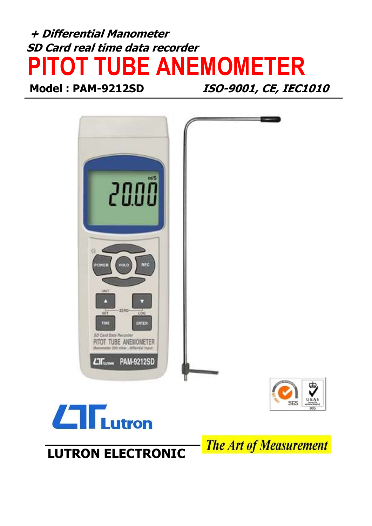# + Differential Manometer SD Card real time data recorder PITOT TUBE ANEMOMETER

Model : PAM-9212SD ISO-9001, CE, IEC1010





**The Art of Measurement** 

## LUTRON ELECTRONIC